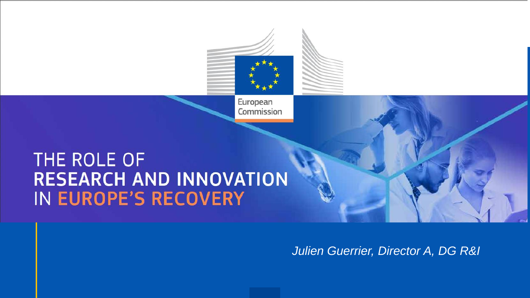

# **package and MFF RESEARCH AND INNOVATION** IN EUROPE'S RECOVERY

*Julien Guerrier, Director A, DG R&I*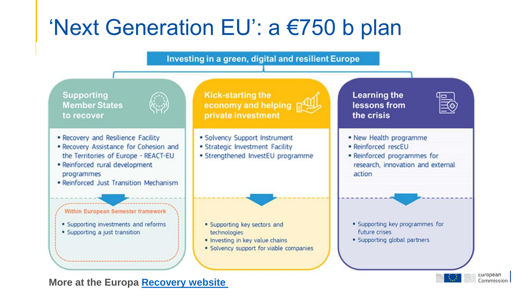## 'Next Generation EU': a €750 b plan



**More at the Europa [Recovery](https://ec.europa.eu/info/live-work-travel-eu/health/coronavirus-response/recovery-plan-europe_en) website**

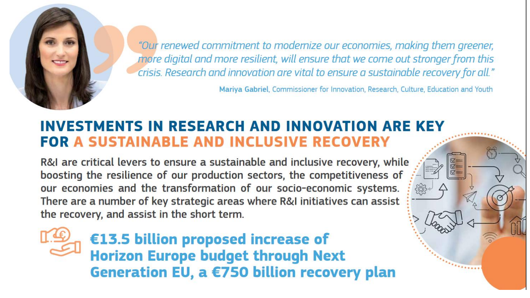

crisis. Research and innovation are vital to ensure a sustainable recovery for all."

Mariya Gabriel, Commissioner for Innovation, Research, Culture, Education and Youth

 $\varpi =$ 

#### **INVESTMENTS IN RESEARCH AND INNOVATION ARE KEY FOR A SUSTAINABLE AND INCLUSIVE RECOVERY**

R&I are critical levers to ensure a sustainable and inclusive recovery, while boosting the resilience of our production sectors, the competitiveness of our economies and the transformation of our socio-economic systems. There are a number of key strategic areas where R&I initiatives can assist the recovery, and assist in the short term.

€13.5 billion proposed increase of Horizon Europe budget through Next<br>Generation EU, a €750 billion recovery plan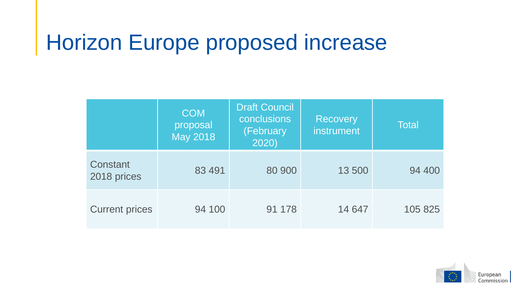## Horizon Europe proposed increase

|                         | <b>COM</b><br>proposal<br><b>May 2018</b> | <b>Draft Council</b><br>conclusions<br>(February<br>2020) | <b>Recovery</b><br>instrument | <b>Total</b> |
|-------------------------|-------------------------------------------|-----------------------------------------------------------|-------------------------------|--------------|
| Constant<br>2018 prices | 83 491                                    | 80 900                                                    | 13 500                        | 94 400       |
| <b>Current prices</b>   | 94 100                                    | 91 178                                                    | 14 647                        | 105 825      |

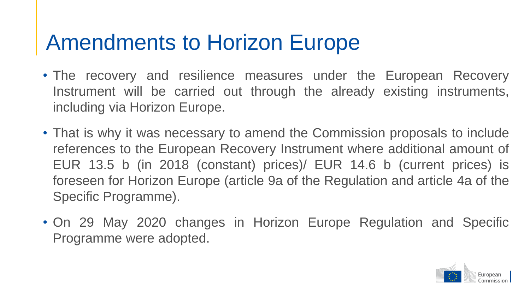### Amendments to Horizon Europe

- The recovery and resilience measures under the European Recovery Instrument will be carried out through the already existing instruments, including via Horizon Europe.
- That is why it was necessary to amend the Commission proposals to include references to the European Recovery Instrument where additional amount of EUR 13.5 b (in 2018 (constant) prices)/ EUR 14.6 b (current prices) is foreseen for Horizon Europe (article 9a of the Regulation and article 4a of the Specific Programme).
- On 29 May 2020 changes in Horizon Europe Regulation and Specific Programme were adopted.

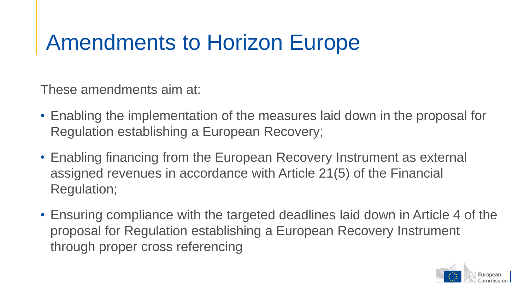## Amendments to Horizon Europe

These amendments aim at:

- Enabling the implementation of the measures laid down in the proposal for Regulation establishing a European Recovery;
- Enabling financing from the European Recovery Instrument as external assigned revenues in accordance with Article 21(5) of the Financial Regulation;
- Ensuring compliance with the targeted deadlines laid down in Article 4 of the proposal for Regulation establishing a European Recovery Instrument through proper cross referencing

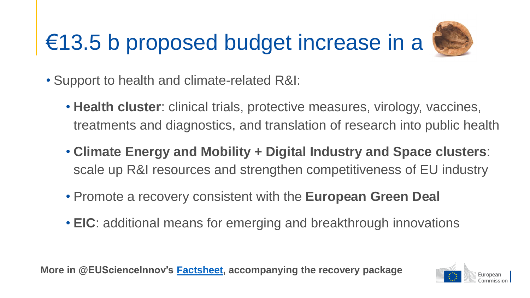## €13.5 b proposed budget increase in a



- Support to health and climate-related R&I:
	- **Health cluster**: clinical trials, protective measures, virology, vaccines, treatments and diagnostics, and translation of research into public health
	- **Climate Energy and Mobility + Digital Industry and Space clusters**: scale up R&I resources and strengthen competitiveness of EU industry
	- Promote a recovery consistent with the **European Green Deal**
	- **EIC**: additional means for emerging and breakthrough innovations

**More in @EUScienceInnov's [Factsheet,](https://ec.europa.eu/info/sites/info/files/research_and_innovation/strategy_on_research_and_innovation/documents/ec_rtd_covid19-recovery-factsheet.pdf) accompanying the recovery package**

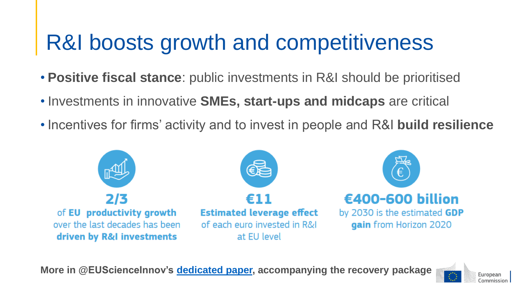## R&I boosts growth and competitiveness

- **Positive fiscal stance**: public investments in R&I should be prioritised
- Investments in innovative **SMEs, start-ups and midcaps** are critical
- Incentives for firms' activity and to invest in people and R&I **build resilience**



**More in @EUScienceInnov's [dedicated](https://ec.europa.eu/info/sites/info/files/research_and_innovation/strategy_on_research_and_innovation/documents/ec_rtd_covid19-recovery.pdf) paper, accompanying the recovery package**

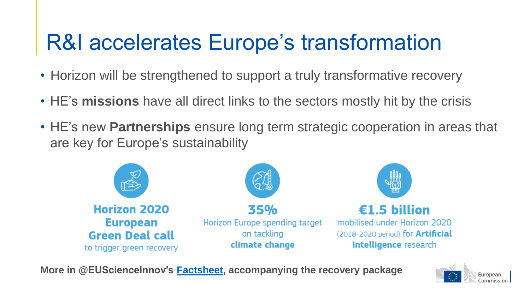## R&I accelerates Europe's transformation

- Horizon will be strengthened to support a truly transformative recovery
- HE's **missions** have all direct links to the sectors mostly hit by the crisis
- HE's new **Partnerships** ensure long term strategic cooperation in areas that are key for Europe's sustainability



**More in @EUScienceInnov's [Factsheet,](https://ec.europa.eu/info/sites/info/files/research_and_innovation/strategy_on_research_and_innovation/documents/ec_rtd_covid19-recovery-factsheet.pdf) accompanying the recovery package**

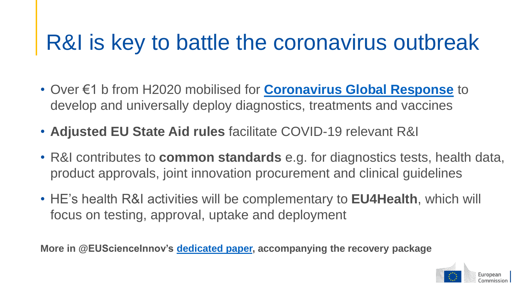## R&I is key to battle the coronavirus outbreak

- Over €1 b from H2020 mobilised for **[Coronavirus Global Response](https://global-response.europa.eu/index_en)** to develop and universally deploy diagnostics, treatments and vaccines
- **Adjusted EU State Aid rules** facilitate COVID-19 relevant R&I
- R&I contributes to **common standards** e.g. for diagnostics tests, health data, product approvals, joint innovation procurement and clinical guidelines
- HE's health R&I activities will be complementary to **EU4Health**, which will focus on testing, approval, uptake and deployment

**More in @EUScienceInnov's [dedicated](https://ec.europa.eu/info/sites/info/files/research_and_innovation/strategy_on_research_and_innovation/documents/ec_rtd_covid19-recovery.pdf) paper, accompanying the recovery package**

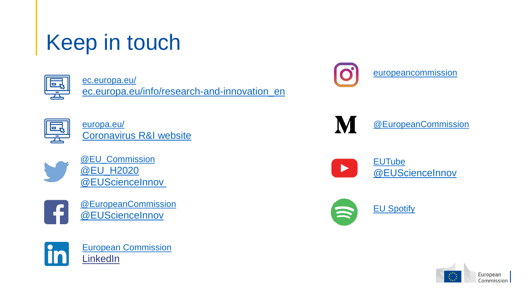## Keep in touch



[ec.europa.eu/](https://ec.europa.eu/)

[ec.europa.eu/info/research-and-innovation\\_en](https://ec.europa.eu/info/research-and-innovation_en)



[europa.eu/](https://europa.eu/) [Coronavirus R&I website](https://ec.europa.eu/info/research-and-innovation/research-area/health-research-and-innovation/coronavirus-research-and-innovation_en)



[@EU\\_Commission](https://twitter.com/eu_commission) [@EU\\_H2020](https://twitter.com/EU_H2020) [@EUScienceInnov](https://twitter.com/EUScienceInnov)



[@EuropeanCommission](https://www.facebook.com/EuropeanCommission) [@EUScienceInnov](https://www.facebook.com/EUScienceInnov/)



[European Commission](https://www.linkedin.com/company/european-commission/) **[LinkedIn](hhttps://www.linkedin.com/showcase/european-commission-joint-research-centre/)** 



[@EuropeanCommission](https://medium.com/@EuropeanCommission)



M

[@EUScienceInnov](https://www.youtube.com/user/InnovationUnion)